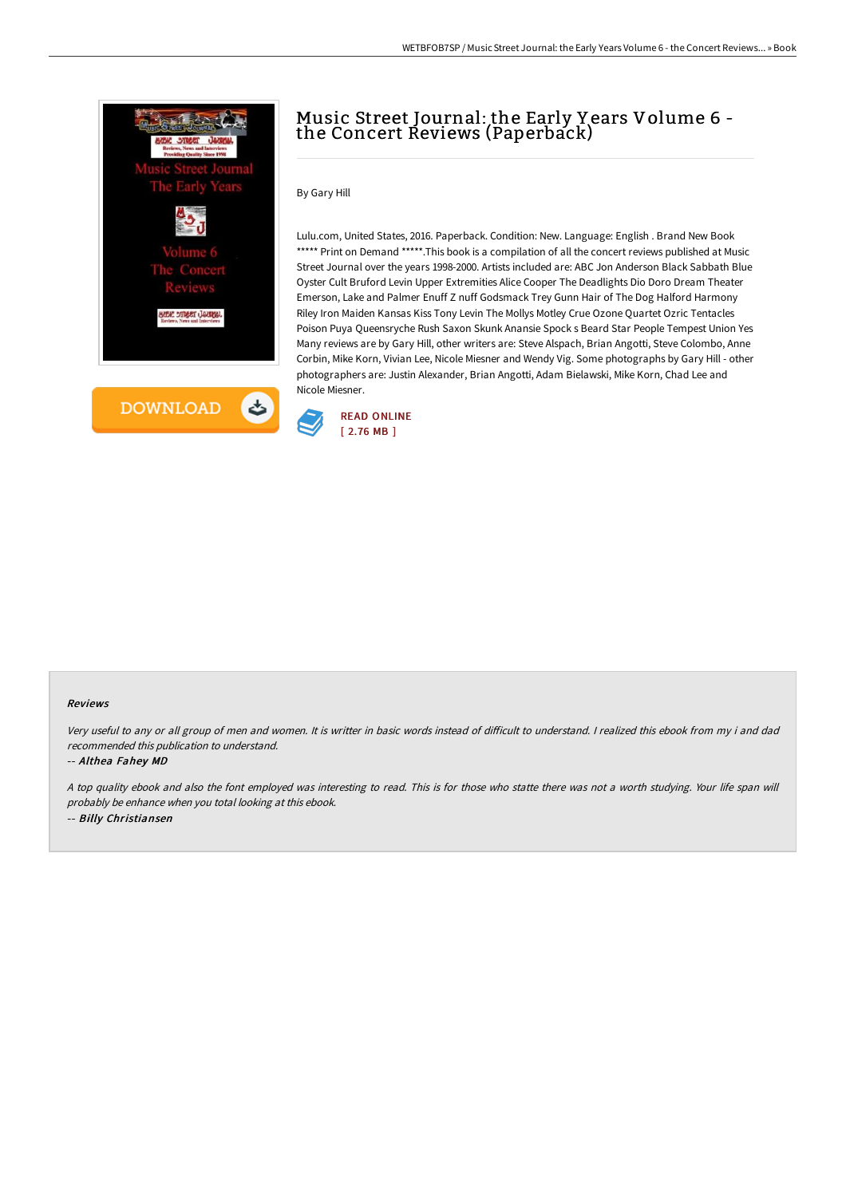

## Music Street Journal: the Early Y ears Volume 6 the Concert Reviews (Paperback)

## By Gary Hill

Lulu.com, United States, 2016. Paperback. Condition: New. Language: English . Brand New Book \*\*\*\*\* Print on Demand \*\*\*\*\*. This book is a compilation of all the concert reviews published at Music Street Journal over the years 1998-2000. Artists included are: ABC Jon Anderson Black Sabbath Blue Oyster Cult Bruford Levin Upper Extremities Alice Cooper The Deadlights Dio Doro Dream Theater Emerson, Lake and Palmer Enuff Z nuff Godsmack Trey Gunn Hair of The Dog Halford Harmony Riley Iron Maiden Kansas Kiss Tony Levin The Mollys Motley Crue Ozone Quartet Ozric Tentacles Poison Puya Queensryche Rush Saxon Skunk Anansie Spock s Beard Star People Tempest Union Yes Many reviews are by Gary Hill, other writers are: Steve Alspach, Brian Angotti, Steve Colombo, Anne Corbin, Mike Korn, Vivian Lee, Nicole Miesner and Wendy Vig. Some photographs by Gary Hill - other photographers are: Justin Alexander, Brian Angotti, Adam Bielawski, Mike Korn, Chad Lee and Nicole Miesner.



## Reviews

Very useful to any or all group of men and women. It is writter in basic words instead of difficult to understand. I realized this ebook from my i and dad recommended this publication to understand.

-- Althea Fahey MD

<sup>A</sup> top quality ebook and also the font employed was interesting to read. This is for those who statte there was not <sup>a</sup> worth studying. Your life span will probably be enhance when you total looking at this ebook. -- Billy Christiansen